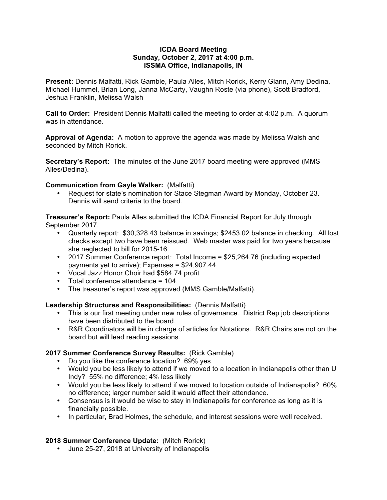#### **ICDA Board Meeting Sunday, October 2, 2017 at 4:00 p.m. ISSMA Office, Indianapolis, IN**

**Present:** Dennis Malfatti, Rick Gamble, Paula Alles, Mitch Rorick, Kerry Glann, Amy Dedina, Michael Hummel, Brian Long, Janna McCarty, Vaughn Roste (via phone), Scott Bradford, Jeshua Franklin, Melissa Walsh

**Call to Order:** President Dennis Malfatti called the meeting to order at 4:02 p.m. A quorum was in attendance.

**Approval of Agenda:** A motion to approve the agenda was made by Melissa Walsh and seconded by Mitch Rorick.

**Secretary's Report:** The minutes of the June 2017 board meeting were approved (MMS Alles/Dedina).

## **Communication from Gayle Walker:** (Malfatti)

• Request for state's nomination for Stace Stegman Award by Monday, October 23. Dennis will send criteria to the board.

**Treasurer's Report:** Paula Alles submitted the ICDA Financial Report for July through September 2017.

- Quarterly report: \$30,328.43 balance in savings; \$2453.02 balance in checking. All lost checks except two have been reissued. Web master was paid for two years because she neglected to bill for 2015-16.
- 2017 Summer Conference report: Total Income = \$25,264.76 (including expected payments yet to arrive); Expenses = \$24,907.44
- Vocal Jazz Honor Choir had \$584.74 profit
- Total conference attendance = 104.
- The treasurer's report was approved (MMS Gamble/Malfatti).

### **Leadership Structures and Responsibilities:** (Dennis Malfatti)

- This is our first meeting under new rules of governance. District Rep job descriptions have been distributed to the board.
- R&R Coordinators will be in charge of articles for Notations. R&R Chairs are not on the board but will lead reading sessions.

### **2017 Summer Conference Survey Results:** (Rick Gamble)

- Do you like the conference location? 69% yes
- Would you be less likely to attend if we moved to a location in Indianapolis other than U Indy? 55% no difference; 4% less likely
- Would you be less likely to attend if we moved to location outside of Indianapolis? 60% no difference; larger number said it would affect their attendance.
- Consensus is it would be wise to stay in Indianapolis for conference as long as it is financially possible.
- In particular, Brad Holmes, the schedule, and interest sessions were well received.

# **2018 Summer Conference Update:** (Mitch Rorick)

• June 25-27, 2018 at University of Indianapolis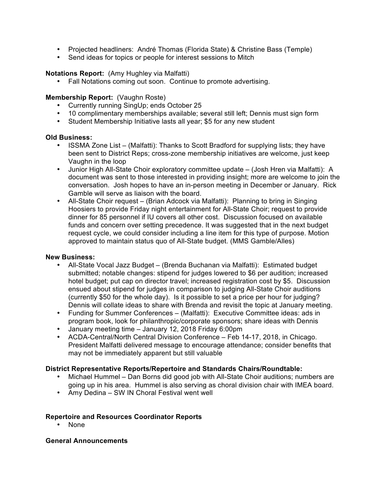- Projected headliners: André Thomas (Florida State) & Christine Bass (Temple)
- Send ideas for topics or people for interest sessions to Mitch

## **Notations Report:** (Amy Hughley via Malfatti)

• Fall Notations coming out soon. Continue to promote advertising.

## **Membership Report:** (Vaughn Roste)

- Currently running SingUp; ends October 25
- 10 complimentary memberships available; several still left; Dennis must sign form
- Student Membership Initiative lasts all year; \$5 for any new student

## **Old Business:**

- ISSMA Zone List (Malfatti): Thanks to Scott Bradford for supplying lists; they have been sent to District Reps; cross-zone membership initiatives are welcome, just keep Vaughn in the loop
- Junior High All-State Choir exploratory committee update (Josh Hren via Malfatti): A document was sent to those interested in providing insight; more are welcome to join the conversation. Josh hopes to have an in-person meeting in December or January. Rick Gamble will serve as liaison with the board.
- All-State Choir request (Brian Adcock via Malfatti): Planning to bring in Singing Hoosiers to provide Friday night entertainment for All-State Choir; request to provide dinner for 85 personnel if IU covers all other cost. Discussion focused on available funds and concern over setting precedence. It was suggested that in the next budget request cycle, we could consider including a line item for this type of purpose. Motion approved to maintain status quo of All-State budget. (MMS Gamble/Alles)

### **New Business:**

- All-State Vocal Jazz Budget (Brenda Buchanan via Malfatti): Estimated budget submitted; notable changes: stipend for judges lowered to \$6 per audition; increased hotel budget; put cap on director travel; increased registration cost by \$5. Discussion ensued about stipend for judges in comparison to judging All-State Choir auditions (currently \$50 for the whole day). Is it possible to set a price per hour for judging? Dennis will collate ideas to share with Brenda and revisit the topic at January meeting.
- Funding for Summer Conferences (Malfatti): Executive Committee ideas: ads in program book, look for philanthropic/corporate sponsors; share ideas with Dennis
- January meeting time January 12, 2018 Friday 6:00pm
- ACDA-Central/North Central Division Conference Feb 14-17, 2018, in Chicago. President Malfatti delivered message to encourage attendance; consider benefits that may not be immediately apparent but still valuable

### **District Representative Reports/Repertoire and Standards Chairs/Roundtable:**

- Michael Hummel Dan Borns did good job with All-State Choir auditions; numbers are going up in his area. Hummel is also serving as choral division chair with IMEA board.
- Amy Dedina SW IN Choral Festival went well

### **Repertoire and Resources Coordinator Reports**

• None

### **General Announcements**